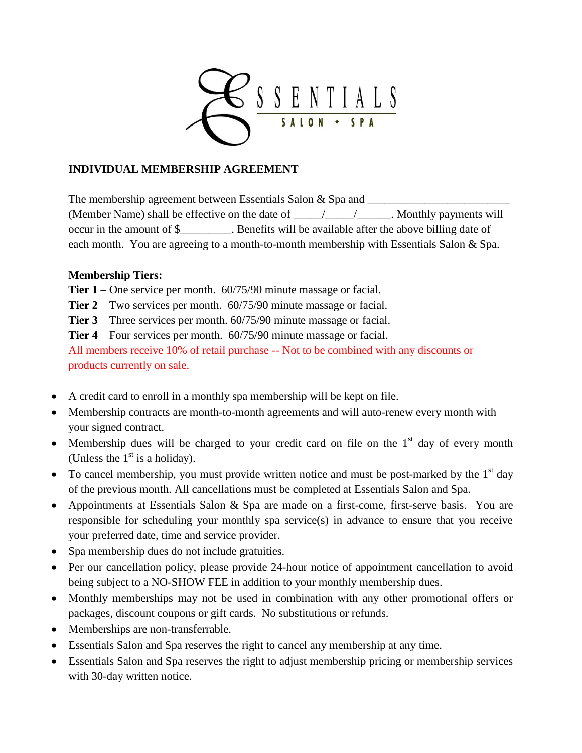

## **INDIVIDUAL MEMBERSHIP AGREEMENT**

The membership agreement between Essentials Salon  $\&$  Spa and (Member Name) shall be effective on the date of \_\_\_\_\_/\_\_\_\_\_/\_\_\_\_\_\_. Monthly payments will occur in the amount of \$\_\_\_\_\_\_\_\_\_. Benefits will be available after the above billing date of each month. You are agreeing to a month-to-month membership with Essentials Salon & Spa.

## **Membership Tiers:**

**Tier 1 –** One service per month. 60/75/90 minute massage or facial.

**Tier 2** – Two services per month. 60/75/90 minute massage or facial.

**Tier 3** – Three services per month. 60/75/90 minute massage or facial.

**Tier 4** – Four services per month. 60/75/90 minute massage or facial.

All members receive 10% of retail purchase -- Not to be combined with any discounts or products currently on sale.

- A credit card to enroll in a monthly spa membership will be kept on file.
- Membership contracts are month-to-month agreements and will auto-renew every month with your signed contract.
- Membership dues will be charged to your credit card on file on the  $1<sup>st</sup>$  day of every month (Unless the  $1<sup>st</sup>$  is a holiday).
- To cancel membership, you must provide written notice and must be post-marked by the  $1<sup>st</sup>$  day of the previous month. All cancellations must be completed at Essentials Salon and Spa.
- Appointments at Essentials Salon & Spa are made on a first-come, first-serve basis. You are responsible for scheduling your monthly spa service(s) in advance to ensure that you receive your preferred date, time and service provider.
- Spa membership dues do not include gratuities.
- Per our cancellation policy, please provide 24-hour notice of appointment cancellation to avoid being subject to a NO-SHOW FEE in addition to your monthly membership dues.
- Monthly memberships may not be used in combination with any other promotional offers or packages, discount coupons or gift cards. No substitutions or refunds.
- Memberships are non-transferrable.
- Essentials Salon and Spa reserves the right to cancel any membership at any time.
- Essentials Salon and Spa reserves the right to adjust membership pricing or membership services with 30-day written notice.